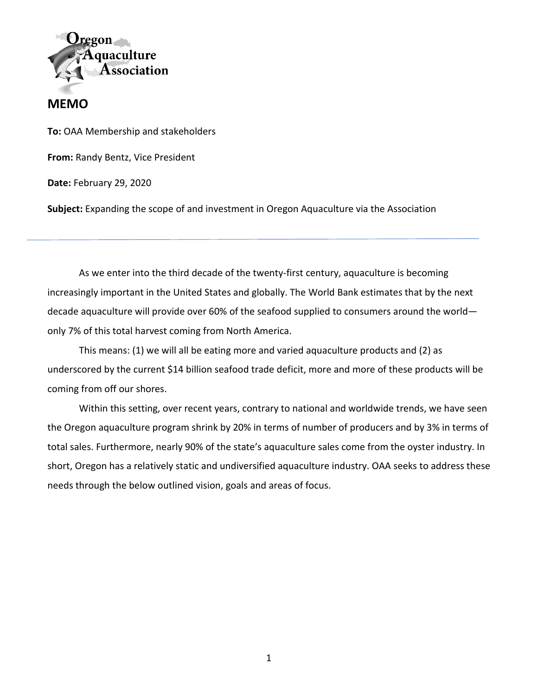

## **MEMO**

**To:** OAA Membership and stakeholders

**From:** Randy Bentz, Vice President

**Date:** February 29, 2020

**Subject:** Expanding the scope of and investment in Oregon Aquaculture via the Association

As we enter into the third decade of the twenty-first century, aquaculture is becoming increasingly important in the United States and globally. The World Bank estimates that by the next decade aquaculture will provide over 60% of the seafood supplied to consumers around the world only 7% of this total harvest coming from North America.

This means: (1) we will all be eating more and varied aquaculture products and (2) as underscored by the current \$14 billion seafood trade deficit, more and more of these products will be coming from off our shores.

Within this setting, over recent years, contrary to national and worldwide trends, we have seen the Oregon aquaculture program shrink by 20% in terms of number of producers and by 3% in terms of total sales. Furthermore, nearly 90% of the state's aquaculture sales come from the oyster industry. In short, Oregon has a relatively static and undiversified aquaculture industry. OAA seeks to address these needs through the below outlined vision, goals and areas of focus.